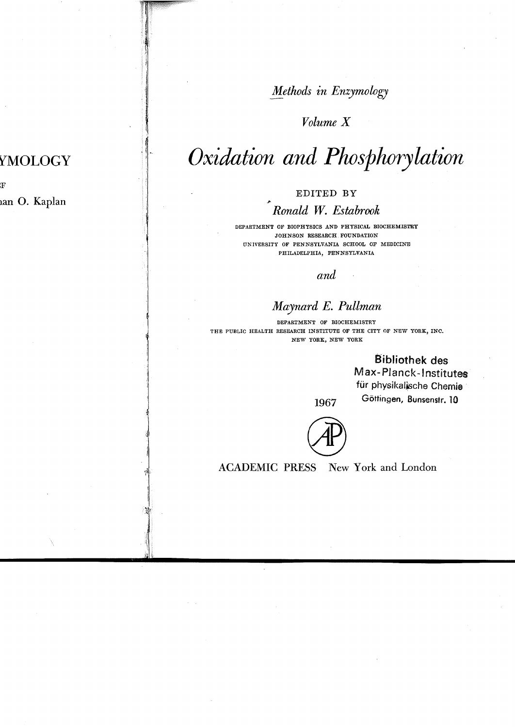*Methods in Enzymology*

## *Volume X*

# *oxidation and Phosphorylation*

EDITED BY

## *Ronald W. Estabrook*

DEPARTMENT OF BIOPHYSICS AND PHYSICAL BIOCHEMISTRY JOHNSON RESEARCH FOUNDATION UNIVERSITY OF PENNSYLVANIA SCHOOL OF MEDICINE PHILADELPHIA, PENNSYLVANIA

and

## *Maynard E. Pullman*

DEPARTMENT OF BIOCHEMISTRY THE PUBLIC HEALTH RESEARCH INSTITUTE OF THE CITY OF NEW YORK, INC. NEW YORK, NEW YORK

> **Bibliothek** des Max-Planck-Institutes für physikalische Chemie Göttingen, Bunsenstr. 10

1967

**ACADEMIC PRESS** New York and London

# YMOLOGY

F an O. Kaplan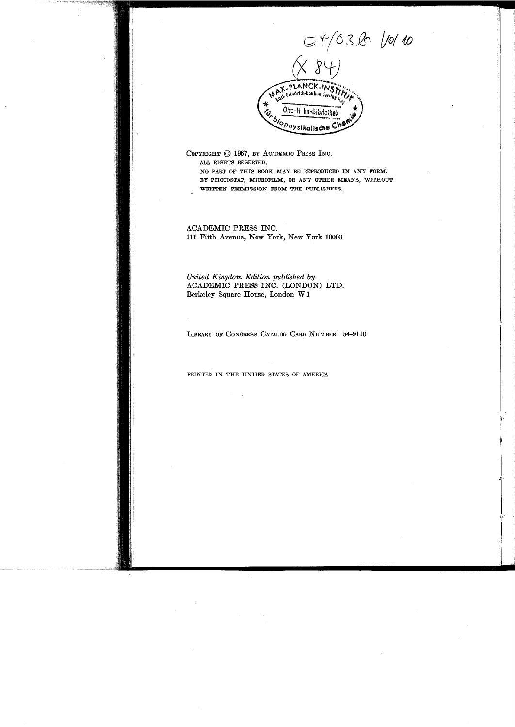$C+(038 V)$ メトロド Olto-H hn-Bibliothe! iophysikalische

COPYRIGHT © 1967, BY ACADEMIC PRESS INC. ALL RIGHTS RESERVED. NO PART OF THIS BOOK MAY BE REPRODUCED IN ANY FORM,

BY PHOTOSTAT, MICROFILM, OR ANY OTHER MEANS, WITHOUT WRITTEN PERMISSION FROM THE PUBLISHERS.

ACADEMIC PRESS INC. 111 Fifth Avenue, New York, New York 10003

United Kingdom Edition published by ACADEMIC PRESS INC. (LONDON) LTD. Berkeley Square House, London W.1

LIBRARY OF CONGRESS CATALOG CARD NUMBER: 54-9110

PRINTED IN THE UNITED STATES OF AMERICA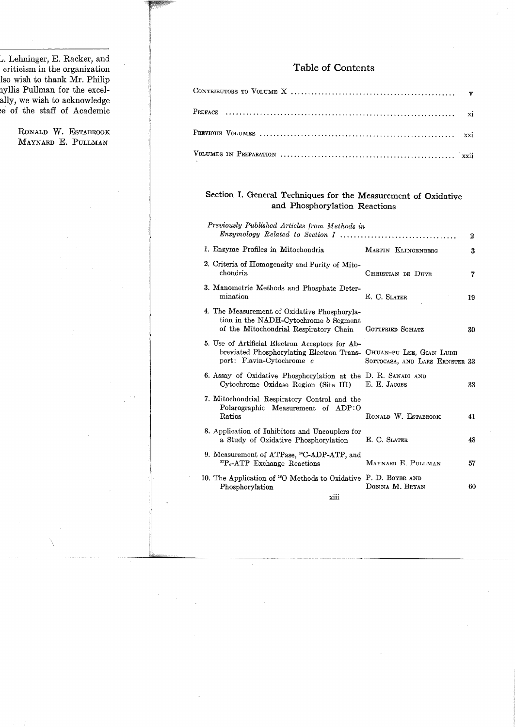L. Lehninger, E. Racker, and criticism in the organization lso wish to thank Mr. Philip nyllis Pullman for the excelally, we wish to acknowledge e of the staff of Academic

> RONALD W. ESTABROOK MAYNARD E. PULLMAN

#### Table of Contents

#### Section I. General Techniques for the Measurement of Oxidative and Phosphorylation Reactions

| Previously Published Articles from Methods in                                                                                                      |                                | $\boldsymbol{2}$ |
|----------------------------------------------------------------------------------------------------------------------------------------------------|--------------------------------|------------------|
| 1. Enzyme Profiles in Mitochondria.                                                                                                                | MARTIN KLINGENBERG             | 3                |
| 2. Criteria of Homogeneity and Purity of Mito-<br>chondria.                                                                                        | CHRISTIAN DE DUVE              | 7                |
| 3. Manometric Methods and Phosphate Deter-<br>mination                                                                                             | E. C. SLATER                   | 19               |
| 4. The Measurement of Oxidative Phosphoryla-<br>tion in the NADH-Cytochrome b Segment<br>of the Mitochondrial Respiratory Chain                    | GOTTFRIED SCHATZ               | 30               |
| 5. Use of Artificial Electron Acceptors for Ab-<br>breviated Phosphorylating Electron Trans- CHUAN-PU LEE, GIAN LUIGI<br>port: Flavin-Cytochrome c | SOTTOCASA, AND LARS ERNSTER 33 |                  |
| 6. Assay of Oxidative Phosphorylation at the D. R. SANADI AND<br>Cytochrome Oxidase Region (Site III)                                              | E. E. JACOBS                   | 38               |
| 7. Mitochondrial Respiratory Control and the<br>Polarographic Measurement of ADP:O<br>Ratios                                                       | RONALD W. ESTABROOK            | 41               |
| 8. Application of Inhibitors and Uncouplers for<br>a Study of Oxidative Phosphorylation                                                            | E. C. SLATER                   | 48               |
| 9. Measurement of ATPase, <sup>14</sup> C-ADP-ATP, and<br>${}^{32}P_{\bullet}$ -ATP Exchange Reactions                                             | MAYNARD E. PULLMAN             | 57               |
| 10. The Application of <sup>18</sup> O Methods to Oxidative P. D. BOYER AND<br>Phosphorylation                                                     | DONNA M. BRYAN                 | 60               |
| xiii                                                                                                                                               |                                |                  |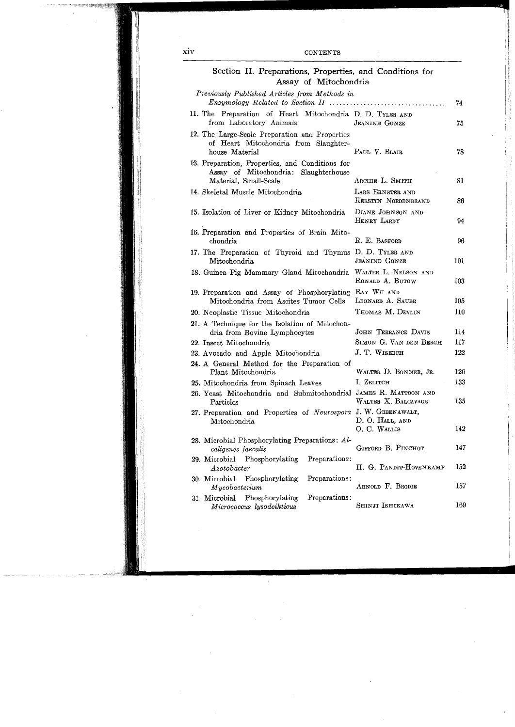| Section II. Preparations, Properties, and Conditions for<br>Assay of Mitochondria                                 |                                         |     |
|-------------------------------------------------------------------------------------------------------------------|-----------------------------------------|-----|
| Previously Published Articles from Methods in<br>$Enzymology$ Related to Section II                               |                                         | 74  |
| 11. The Preparation of Heart Mitochondria D. D. TYLER AND<br>from Laboratory Animals                              | <b>JEANINE GONZE</b>                    | 75  |
| 12. The Large-Scale Preparation and Properties<br>of Heart Mitochondria from Slaughter-<br>house Material         | PAUL V. BLAIR                           | 78  |
| 13. Preparation, Properties, and Conditions for<br>Assay of Mitochondria: Slaughterhouse<br>Material, Small-Scale | ARCHIE L. SMITH                         | 81  |
| 14. Skeletal Muscle Mitochondria                                                                                  | LARS ERNSTER AND<br>KERSTIN NORDENBRAND | 86  |
| 15. Isolation of Liver or Kidney Mitochondria                                                                     | DIANE JOHNSON AND<br>HENRY LARDY        | 94  |
| 16. Preparation and Properties of Brain Mito-<br>chondria                                                         | R. E. BASFORD                           | 96  |
| 17. The Preparation of Thyroid and Thymus<br>Mitochondria                                                         | D. D. TYLER AND<br><b>JEANINE GONZE</b> | 101 |
| 18. Guinea Pig Mammary Gland Mitochondria                                                                         | WALTER L. NELSON AND<br>RONALD A. BUTOW | 103 |
| 19. Preparation and Assay of Phosphorylating<br>Mitochondria from Ascites Tumor Cells                             | RAY WU AND<br>LEONARD A. SAUER          | 105 |
| 20. Neoplastic Tissue Mitochondria                                                                                | THOMAS M. DEVLIN                        | 110 |
| 21. A Technique for the Isolation of Mitochon-<br>dria from Bovine Lymphocytes                                    | JOHN TERRANCE DAVIS                     | 114 |
| 22. Insect Mitochondria                                                                                           | SIMON G. VAN DEN BERGH                  | 117 |
| 23. Avocado and Apple Mitochondria                                                                                | J. T. WISKICH                           | 122 |
| 24. A General Method for the Preparation of<br>Plant Mitochondria                                                 | WALTER D. BONNER, JR.                   | 126 |
| 25. Mitochondria from Spinach Leaves                                                                              | І. Zеlitch                              | 133 |
| 26. Yeast Mitochondria and Submitochondrial JAMES R. MATTOON AND<br>Particles                                     | WALTER X. BALCAVAGE                     | 135 |
| 27. Preparation and Properties of Neurospora J. W. GREENAWALT,<br>Mitochondria                                    | D. O. HALL, AND<br>O. C. WALLIS         | 142 |
| 28. Microbial Phosphorylating Preparations: Al-<br>caligenes faecalis                                             | GIFFORD B. PINCHOT                      | 147 |
| Phosphorylating<br>Preparations:<br>29. Microbial<br>Azotobacter                                                  | H. G. PANDIT-HOVENKAMP                  | 152 |
| 30. Microbial<br>Phosphorylating<br>Preparations:<br>Mycobacterium                                                | ARNOLD F. BRODIE                        | 157 |
| Phosphorylating<br>Preparations:<br>31. Microbial<br>Micrococcus lysodeikticus                                    | <b>SHINJI ISHIKAWA</b>                  | 169 |

 $\dot{\rm xiv}$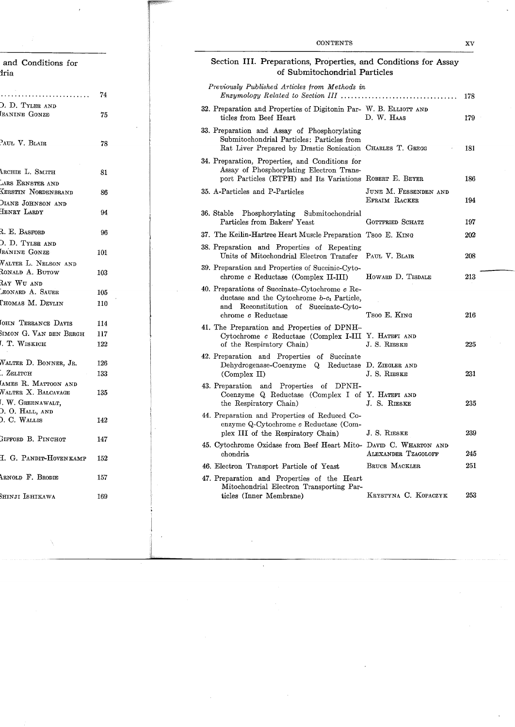| and Conditions for<br>dria                                                |     |
|---------------------------------------------------------------------------|-----|
| $\ddot{\phantom{1}}$                                                      | 74  |
| D. D. TYLER AND<br>EANINE GONZE                                           | 75  |
| PAUL V. BLAIR                                                             | 78  |
| ARCHIE L. SMITH                                                           | 81  |
| ARS ERNSTER AND<br>KERSTIN NORDENBRAND                                    | 86  |
| DIANE JOHNSON AND<br>HENRY LARDY                                          | 94  |
| R. E. BASFORD                                                             | 96  |
| ). D. Tyler and<br>EANINE GONZE                                           | 101 |
| WALTER L. NELSON AND<br>RONALD A. BUTOW                                   | 103 |
| Ray Wu and<br>EONARD A. SAUER                                             | 105 |
| Thomas M. Devlin                                                          | 110 |
| OHN TERRANCE DAVIS                                                        | 114 |
| SIMON G. VAN DEN BERGH                                                    | 117 |
| . T. WISKICH                                                              | 122 |
| WALTER D. BONNER, JR.                                                     | 126 |
| $\therefore$ ZELITCH                                                      | 133 |
| AMES R. MATTOON AND                                                       |     |
| WALTER X. BALCAVAGE<br>I. W. Greenawalt <mark>,</mark><br>D. O. Hall, and | 135 |
| ). C. WALLIS                                                              | 142 |
| HIFFORD B. PINCHOT                                                        | 147 |
| H. G. PANDIT-HOVENKAMP                                                    | 152 |

ARNOLD F. BRODIE

Shinji Ishikawa

Ň,

157

169

| Section III. Preparations, Properties, and Conditions for Assay<br>of Submitochondrial Particles                                                                                         |                                        |     |
|------------------------------------------------------------------------------------------------------------------------------------------------------------------------------------------|----------------------------------------|-----|
| Previously Published Articles from Methods in                                                                                                                                            |                                        | 178 |
| 32. Preparation and Properties of Digitonin Par- W. B. ELLIOTT AND<br>ticles from Beef Heart                                                                                             | D. W. HAAS                             | 179 |
| 33. Preparation and Assay of Phosphorylating<br>Submitochondrial Particles: Particles from<br>Rat Liver Prepared by Drastic Sonication CHARLES T. GREGG                                  |                                        | 181 |
| 34. Preparation, Properties, and Conditions for<br>Assay of Phosphorylating Electron Trans-<br>port Particles (ETPH) and Its Variations ROBERT E. BEYER                                  |                                        | 186 |
| 35. A-Particles and P-Particles                                                                                                                                                          | JUNE M. FESSENDEN AND<br>EFRAIM RACKER | 194 |
| 36. Stable<br>Phosphorylating<br>Submitochondrial<br>Particles from Bakers' Yeast                                                                                                        | GOTTFRIED SCHATZ                       | 197 |
| 37. The Keilin-Hartree Heart Muscle Preparation Tsoo E. KING                                                                                                                             |                                        | 202 |
| 38. Preparation and Properties of Repeating<br>Units of Mitochondrial Electron Transfer                                                                                                  | PAUL V. BLAIR                          | 208 |
| 39. Preparation and Properties of Succinic-Cyto-<br>chrome c Reductase (Complex II-III)                                                                                                  | HOWARD D. TISDALE                      | 213 |
| 40. Preparations of Succinate–Cytochrome c Re-<br>ductase and the Cytochrome $b-c_1$ Particle,<br>Reconstitution<br>$\quad \text{and} \quad$<br>of Succinate-Cyto-<br>chrome c Reductase | Tsoo E. King                           | 216 |
| 41. The Preparation and Properties of DPNH-<br>Cytochrome c Reductase (Complex I-III Y. HATEFI AND<br>of the Respiratory Chain)                                                          | J. S. RIESKE                           | 225 |
| 42. Preparation and Properties of Succinate<br>Dehydrogenase-Coenzyme Q Reductase D. ZIEGLER AND<br>(Complex II)                                                                         | J. S. RIESKE                           | 231 |
| and Properties<br>DPNH-<br>43. Preparation<br>of<br>Coenzyme Q Reductase (Complex I of Y. HATEFI AND<br>the Respiratory Chain)                                                           | J. S. RIESKE                           | 235 |
| 44. Preparation and Properties of Reduced Co-<br>enzyme Q-Cytochrome c Reductase (Com-<br>plex III of the Respiratory Chain)                                                             | J. S. RIESKE                           | 239 |
| 45. Cytochrome Oxidase from Beef Heart Mito- DAVID C. WHARTON AND<br>chondria                                                                                                            | <b>ALEXANDER TZAGOLOFF</b>             | 245 |
| 46. Electron Transport Particle of Yeast                                                                                                                                                 | BRUCE MACKLER                          | 251 |
| 47. Preparation and Properties of the Heart<br>Mitochondrial Electron Transporting Par-<br>ticles (Inner Membrane)                                                                       | KRYSTYNA C. KOPACZYK                   | 253 |
|                                                                                                                                                                                          |                                        |     |

 $\hat{\mathcal{A}}$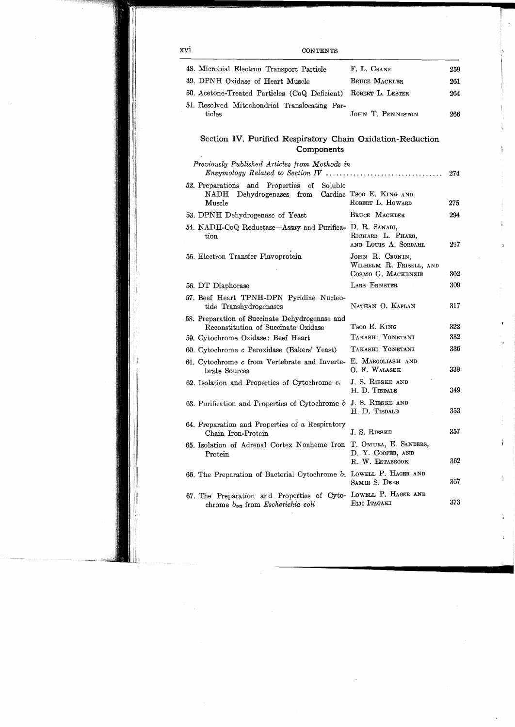| ιvi | <b>CONTENTS</b>                                                                                                    |                                           |     |
|-----|--------------------------------------------------------------------------------------------------------------------|-------------------------------------------|-----|
|     | 48. Microbial Electron Transport Particle                                                                          | F. L. CRANE                               | 259 |
|     | 49. DPNH Oxidase of Heart Muscle                                                                                   | BRUCE MACKLER                             | 261 |
|     | 50. Acetone-Treated Particles (CoQ Deficient)                                                                      | ROBERT L. LESTER                          | 264 |
|     | 51. Resolved Mitochondrial Translocating Par-<br>ticles                                                            | JOHN T. PENNISTON                         | 266 |
|     | Section IV. Purified Respiratory Chain Oxidation-Reduction<br>Components                                           |                                           |     |
|     | Previously Published Articles from Methods in                                                                      |                                           | 274 |
|     | 52. Preparations and Properties of Soluble<br>Dehydrogenases from Cardiac Tsoo E. KING AND<br>$\rm NADH$<br>Muscle | ROBERT L. HOWARD                          | 275 |
|     | 53. DPNH Dehydrogenase of Yeast                                                                                    | BRUCE MACKLER                             | 294 |
|     | 54. NADH-CoQ Reductase—Assay and Purifica- D. R. SANADI,<br>tion                                                   | RICHARD L. PHARO,<br>AND LOUIS A. SORDAHL | 297 |
|     | 55. Electron Transfer Flavoprotein                                                                                 | JOHN R. CRONIN.                           |     |

 $\frac{1}{3}$ 

ł

ı

 $\mathfrak{f}$ 

Ï

| 00. Inconton Transfer Theroprocess                                                                        |                                               |     |
|-----------------------------------------------------------------------------------------------------------|-----------------------------------------------|-----|
|                                                                                                           | WILHELM R. FRISELL, AND<br>COSMO G. MACKENZIE | 302 |
|                                                                                                           |                                               |     |
| 56. DT Diaphorase                                                                                         | LARS ERNSTER                                  | 309 |
| 57. Beef Heart TPNH-DPN Pyridine Nucleo-<br>tide Transhydrogenases                                        | NATHAN O. KAPLAN                              | 317 |
| 58. Preparation of Succinate Dehydrogenase and<br>Reconstitution of Succinate Oxidase                     | Tsoo E. King                                  | 322 |
| 59. Cytochrome Oxidase: Beef Heart                                                                        | TAKASHI YONETANI                              | 332 |
| 60. Cytochrome c Peroxidase (Bakers' Yeast)                                                               | TAKASHI YONETANI                              | 336 |
| 61. Cytochrome c from Vertebrate and Inverte-<br>brate Sources                                            | E. MARGOLIASH AND<br>O. F. WALASEK            | 339 |
| 62. Isolation and Properties of Cytochrome $c_1$                                                          | J. S. RIESKE AND<br>H. D. TISDALE             | 349 |
| 63. Purification and Properties of Cytochrome b J. S. RIESKE AND                                          | H. D. TISDALE                                 | 353 |
| 64. Preparation and Properties of a Respiratory<br>Chain Iron-Protein                                     | J. S. RIESKE                                  | 357 |
| 65. Isolation of Adrenal Cortex Nonheme Iron T. OMURA, E. SANDERS,<br>Protein                             | D. Y. COOPER, AND<br>R. W. ESTABROOK          | 362 |
| 66. The Preparation of Bacterial Cytochrome $b_1$ Lowell P. HAGER AND                                     | SAMIR S. DEEB                                 | 367 |
| 67. The Preparation and Properties of Cyto- Lowell P. HAGER AND<br>chrome $b_{562}$ from Escherichia coli | EIJI ITAGAKI                                  | 373 |

 $\boldsymbol{\mathrm{x}}$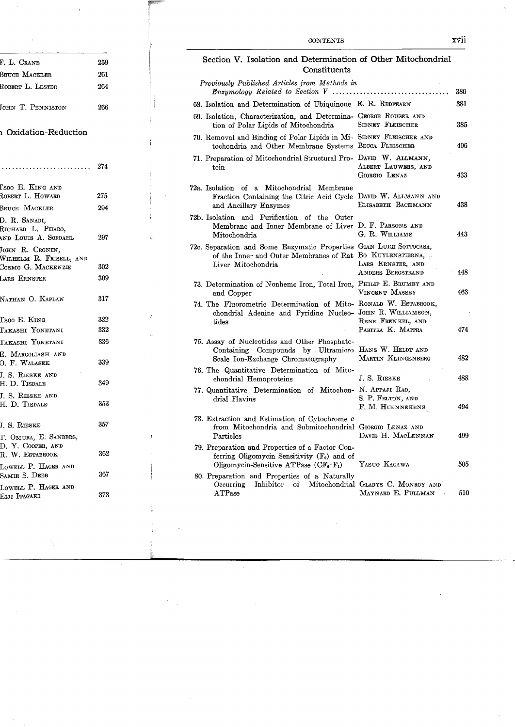| F. L. Crane                                                      | 259 |
|------------------------------------------------------------------|-----|
| <b>BRUCE MACKLER</b>                                             | 261 |
| ROBERT L. LESTER                                                 | 264 |
| JOHN T. PENNISTON                                                | 266 |
| <b>Qxidation-Reduction</b>                                       |     |
|                                                                  |     |
| Isoo E. King and<br>ROBERT L. HOWARD                             | 275 |
| BRUCE MACKLER                                                    | 294 |
| D. R. SANADI,<br>RICHARD L. PHARO,<br>AND LOUIS A. SORDAHL       | 297 |
| JOHN R. CRONIN,<br>WILHELM R. FRISELL, AND<br>COSMO G. MACKENZIE | 302 |
| LARS ERNSTER                                                     | 309 |
|                                                                  |     |
| NATHAN O. KAPLAN                                                 | 317 |
| Tsoo E. King                                                     | 322 |
| TAKASHI YONETANI                                                 | 332 |
| TAKASHI YONETANI                                                 | 336 |
| E. MARGOLIASH AND<br>O. F. WALASEK                               | 339 |
| J. S. RIESKE AND<br>H. D. TISDALE                                | 349 |
| J. S. RIESKE AND<br>H. D. Tisdalb                                | 353 |
| J. S. RIESKE                                                     | 357 |
| T. OMURA, E. SANDERS,                                            |     |
| D. Y. COOPER, AND<br>R. W. Estabrook                             | 362 |
| LOWELL P. HAGER AND<br>SAMIR S. DEEB                             | 367 |
| LOWELL P. HAGER AND<br>EIJI ITAGAKI                              | 373 |
|                                                                  |     |

Ï.

 $\overline{a}$ 

#### Section V. Isolation and Determination of Other Mitochondrial **Constituents**

| Previously Published Articles from Methods in<br>$\emph{Enzumoloau}$ Related to Section V                                                                          |                                         | 380 |
|--------------------------------------------------------------------------------------------------------------------------------------------------------------------|-----------------------------------------|-----|
| 68. Isolation and Determination of Ubiquinone E. R. REDFEARN                                                                                                       |                                         | 381 |
| 69. Isolation, Characterization, and Determina- GEORGE ROUSER AND<br>tion of Polar Lipids of Mitochondria                                                          | SIDNEY FLEISCHER                        | 385 |
| 70. Removal and Binding of Polar Lipids in Mi- SIDNEY FLEISCHER AND<br>tochondria and Other Membrane Systems BECCA FLEISCHER                                       |                                         | 406 |
| 71. Preparation of Mitochondrial Structural Pro- DAVID W. ALLMANN,<br>tein                                                                                         | ALBERT LAUWERS, AND<br>GIORGIO LENAZ    | 433 |
| 72a. Isolation of a Mitochondrial Membrane<br>Fraction Containing the Citric Acid Cycle DAVID W. ALLMANN AND<br>and Ancillary Enzymes                              | ELISABETH BACHMANN                      | 438 |
| 72b. Isolation and Purification of the Outer<br>Membrane and Inner Membrane of Liver D. F. PARSONS AND<br>Mitochondria                                             | G. R. WILLIAMS                          | 443 |
| 72c. Separation and Some Enzymatic Properties GIAN LUIGI SOTTOCASA,<br>of the Inner and Outer Membranes of Rat Bo KUYLENSTIERNA,<br>Liver Mitochondria             | LARS ERNSTER, AND<br>ANDERS BERGSTRAND  | 448 |
| 73. Determination of Nonheme Iron, Total Iron, PHILIP E. BRUMBY AND<br>and Copper                                                                                  | VINCENT MASSEY                          | 463 |
| 74. The Fluorometric Determination of Mito-RONALD W. ESTABROOK,<br>chondrial Adenine and Pyridine Nucleo- JOHN R. WILLIAMSON,<br>tides                             | RENE FRENKEL, AND<br>PABITRA K. MAITRA  | 474 |
| 75. Assay of Nucleotides and Other Phosphate-<br>Containing Compounds by Ultramicro<br>Scale Ion-Exchange Chromatography                                           | HANS W. HELDT AND<br>MARTIN KLINGENBERG | 482 |
| 76. The Quantitative Determination of Mito-<br>chondrial Hemoproteins                                                                                              | J. S. RIESKE                            | 488 |
| 77. Quantitative Determination of Mitochon- N. APPAJI RAO,<br>drial Flavins                                                                                        | S. P. FELTON, AND<br>F. M. HUENNEKENS   | 494 |
| 78. Extraction and Estimation of Cytochrome c<br>from Mitochondria and Submitochondrial Giorgio LENAZ AND<br>Particles                                             | DAVID H. MACLENNAN                      | 499 |
| 79. Preparation and Properties of a Factor Con-<br>ferring Oligomycin Sensitivity $(F_0)$ and of<br>Oligomycin-Sensitive ATPase (CF <sub>o</sub> ·F <sub>1</sub> ) | YASUO KAGAWA                            | 505 |
| 80. Preparation and Properties of a Naturally<br>Inhibitor of Mitochondrial GLADYS C. MONROY AND<br>Occurring<br>A TPase                                           | MAYNARD E. PULLMAN                      | 510 |

l,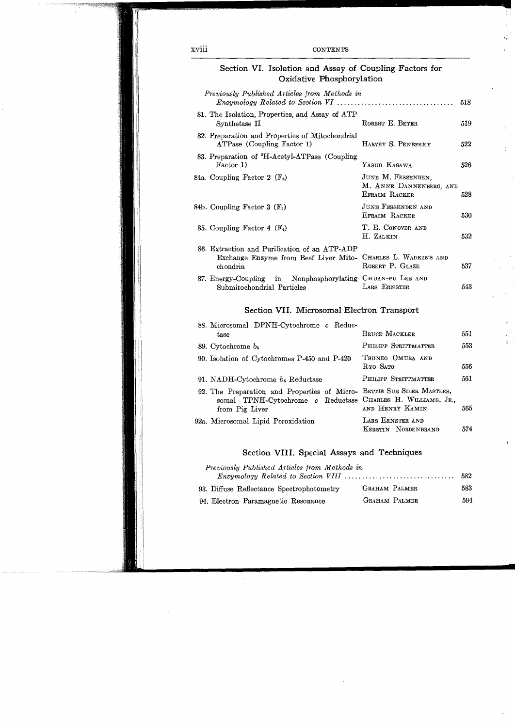#### **CONTENTS**

#### Section VI. Isolation and Assay of Coupling Factors for Oxidative Phosphorylation

 $\frac{1}{2}$ 

÷,

| Previously Published Articles from Methods in                                                                             |                                                                | 518 |
|---------------------------------------------------------------------------------------------------------------------------|----------------------------------------------------------------|-----|
| 81. The Isolation, Properties, and Assay of ATP<br>Synthetase II                                                          | ROBERT E. BEYER                                                | 519 |
| 82. Preparation and Properties of Mitochondrial<br>ATPase (Coupling Factor 1)                                             | HARVEY S. PENEFSKY                                             | 522 |
| 83. Preparation of <sup>3</sup> H-Acetyl-ATPase (Coupling)<br>Factor 1)                                                   | YASUO KAGAWA                                                   | 526 |
| 84a. Coupling Factor 2 $(F_2)$                                                                                            | JUNE M. FESSENDEN.<br>M. ANNE DANNENBERG, AND<br>EFRAIM RACKER | 528 |
| 84b. Coupling Factor 3 $(F_3)$                                                                                            | JUNE FESSENDEN AND<br>EFRAIM RACKER                            | 530 |
| 85. Coupling Factor 4 $(F_4)$                                                                                             | T. E. CONOVER AND<br>H. ZALKIN                                 | 532 |
| 86. Extraction and Purification of an ATP-ADP<br>Exchange Enzyme from Beef Liver Mito- CHARLES L. WADKINS AND<br>chondria | ROBERT P. GLAZE                                                | 537 |
| Nonphosphorylating CHUAN-PU LEE AND<br>87. Energy-Coupling in<br>Submitochondrial Particles                               | LARS ERNSTER                                                   | 543 |

#### Section VII. Microsomal Electron Transport

| 88. Microsomal DPNH-Cytochrome c Reduc-                                                                                                                 | BRUCE MACKLER                           | 551 |
|---------------------------------------------------------------------------------------------------------------------------------------------------------|-----------------------------------------|-----|
| tase                                                                                                                                                    |                                         |     |
| 89. Cytochrome $b_5$                                                                                                                                    | PHILIPP STRITTMATTER                    | 553 |
| 90. Isolation of Cytochromes P-450 and P-420                                                                                                            | TSUNEO OMURA AND<br>RYO SATO            | 556 |
| 91. NADH-Cytochrome $b_5$ Reductase                                                                                                                     | PHILIPP STRITTMATTER                    | 561 |
| 92. The Preparation and Properties of Micro- BETTIE SUE SILER MASTERS,<br>somal TPNH-Cytochrome c Reductase CHARLES H. WILLIAMS, JR.,<br>from Pig Liver | AND HENRY KAMIN                         | 565 |
| 92a. Microsomal Lipid Peroxidation                                                                                                                      | LARS ERNSTER AND<br>KERSTIN NORDENBRAND | 574 |

#### Section VIII. Special Assays and Techniques

| Previously Published Articles from Methods in                                                  |                      |     |
|------------------------------------------------------------------------------------------------|----------------------|-----|
| $Enzumology$ Related to Section VIII $\ldots \ldots \ldots \ldots \ldots \ldots \ldots \ldots$ |                      | 582 |
| 93. Diffuse Reflectance Spectrophotometry                                                      | GRAHAM PALMER        | 583 |
| 94. Electron Paramagnetic Resonance                                                            | <b>GRAHAM PALMER</b> | 594 |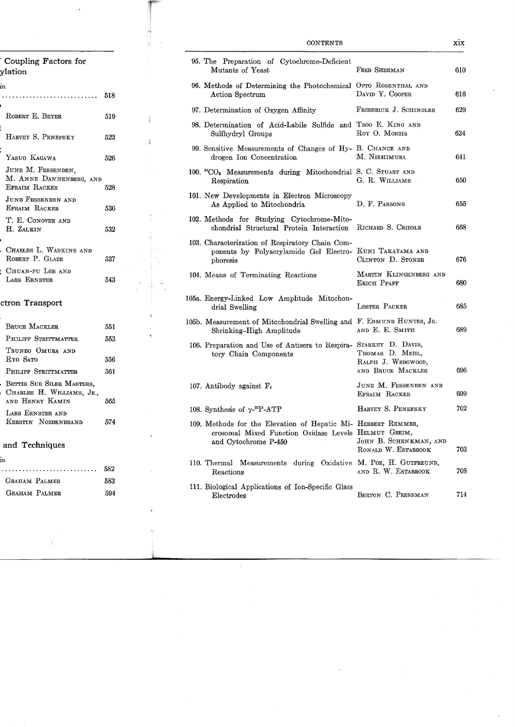| Coupling Factors for<br>ylation                                |     |
|----------------------------------------------------------------|-----|
| 'n<br>.<br>.                                                   | 518 |
| ROBERT E. BEYER                                                | 519 |
| HARVEY S. PENEFSKY                                             | 522 |
| YASUO KAGAWA                                                   | 526 |
| JUNE M. FESSENDEN,<br>M. ANNE DANNENBERG, AND<br>EFRAIM RACKER | 528 |
| JUNE FESSENDEN AND<br><b>EFRAIM RACKER</b>                     | 530 |
| T. E. CONOVER AND<br>H. ZALKIN                                 | 532 |
| CHARLES L. WADKINS AND<br>ROBERT P. GLAZE                      | 537 |
| CHUAN-PU LEE AND<br>LARS ERNSTER                               | 543 |
|                                                                |     |

 $\langle$ 

 $\ddot{z}$ 

### ctron Transport

| <b>BRITCE MACKLER</b>                                                     | 551 |
|---------------------------------------------------------------------------|-----|
| PHILIPP STRITTMATTER                                                      | 553 |
| Tsuneo Omura and<br>Ryo Sato                                              | 556 |
| PHILIPP STRITTMATTER                                                      | 561 |
| BETTIE SUE SILER MASTERS.<br>CHARLES H. WILLIAMS, JR.,<br>AND HENRY KAMIN | 565 |
| LARS ERNSTER AND<br>KERSTIN NORDENBRAND                                   | 574 |
| and Techniques                                                            |     |

| ŕ |  |  |
|---|--|--|
|   |  |  |

|                      | 582 |
|----------------------|-----|
| <b>GRAHAM PALMER</b> | 583 |
| GRAHAM PALMER        | 594 |

#### **CONTENTS**

| 95. The Preparation of Cytochrome-Deficient<br>Mutants of Yeast                                                                               | FRED SHERMAN                                               | 610 |
|-----------------------------------------------------------------------------------------------------------------------------------------------|------------------------------------------------------------|-----|
| 96. Methods of Determining the Photochemical OTTO ROSENTHAL AND<br>Action Spectrum                                                            | DAVID Y. COOPER                                            | 616 |
| 97. Determination of Oxygen Affinity                                                                                                          | FREDERICK J. SCHINDLER                                     | 629 |
| 98. Determination of Acid-Labile Sulfide and Tsoo E. KING AND<br>Sulfhydryl Groups                                                            | ROY O. MORRIS                                              | 634 |
| 99. Sensitive Measurements of Changes of Hy- B. CHANCE AND<br>drogen Ion Concentration                                                        | M. NISHIMURA                                               | 641 |
| 100. <sup>14</sup> CO <sub>2</sub> Measurements during Mitochondrial S. C. STUART AND<br>Respiration                                          | G. R. WILLIAMS                                             | 650 |
| 101. New Developments in Electron Microscopy<br>As Applied to Mitochondria                                                                    | D. F. PARSONS                                              | 655 |
| 102. Methods for Studying Cytochrome-Mito-<br>chondrial Structural Protein Interaction                                                        | RICHARD S. CRIDDLE                                         | 668 |
| 103. Characterization of Respiratory Chain Com-<br>ponents by Polyacrylamide Gel Electro-<br>phoresis                                         | KUNI TAKAYAMA AND<br>CLINTON D. STONER                     | 676 |
| 104. Means of Terminating Reactions                                                                                                           | MARTIN KLINGENBERG AND<br>ERICH PFAFF                      | 680 |
| 105a. Energy-Linked Low Amplitude Mitochon-<br>drial Swelling                                                                                 | LESTER PACKER                                              | 685 |
| 105b. Measurement of Mitochondrial Swelling and F. EDMUND HUNTER, JR.<br>Shrinking-High Amplitude                                             | AND E. E. SMITH                                            | 689 |
| 106. Preparation and Use of Antisera to Respira- STARKEY D. DAVIS,<br>tory Chain Components                                                   | THOMAS D. MEHL,<br>RALPH J. WEDGWOOD,<br>AND BRUCE MACKLER | 696 |
| 107. Antibody against $F_1$                                                                                                                   | JUNE M. FESSENDEN AND<br>EFRAIM RACKER                     | 699 |
| 108. Synthesis of $\gamma$ - <sup>32</sup> P-ATP                                                                                              | HARVEY S. PENEFSKY                                         | 702 |
| 109. Methods for the Elevation of Hepatic Mi- HERBERT REMMER,<br>crosomal Mixed Function Oxidase Levels HELMUT GREIM,<br>and Cytochrome P-450 | JOHN B. SCHENKMAN, AND<br>RONALD W. ESTABROOK              | 703 |
| 110. Thermal Measurements during Oxidative M. Poe, H. GUTFREUND,<br>Reactions                                                                 | AND R. W. ESTABROOK                                        | 708 |
| 111. Biological Applications of Ion-Specific Glass<br>Electrodes                                                                              | BERTON C. PRESSMAN                                         | 714 |

 $\cdot$ 

 $\dot{\text{x}i\text{x}}$